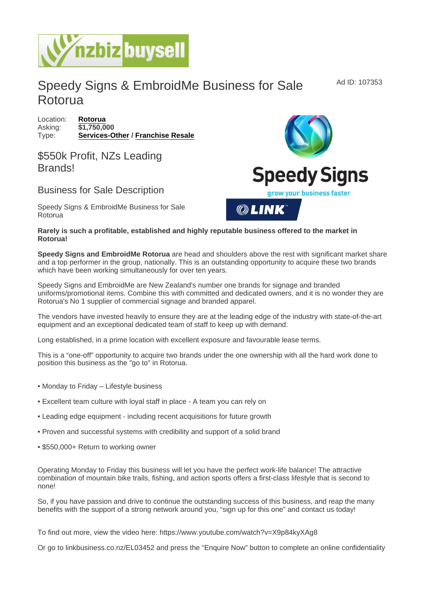## Speedy Signs & EmbroidMe Business for Sale Rotorua

Location: [Rotorua](https://www.nzbizbuysell.co.nz/businesses-for-sale/location/Rotorua) Asking: \$1,750,000 Type: [Services-Other](https://www.nzbizbuysell.co.nz/businesses-for-sale/Services/New-Zealand) / [Franchise Resale](https://www.nzbizbuysell.co.nz/businesses-for-sale/Franchise-Resale/New-Zealand)

## \$550k Profit, NZs Leading **Brands!**

## Business for Sale Description

Speedy Signs & EmbroidMe Business for Sale Rotorua

Rarely is such a profitable, established and highly reputable business offered to the market in Rotorua!

Speedy Signs and EmbroidMe Rotorua are head and shoulders above the rest with significant market share and a top performer in the group, nationally. This is an outstanding opportunity to acquire these two brands which have been working simultaneously for over ten years.

Speedy Signs and EmbroidMe are New Zealand's number one brands for signage and branded uniforms/promotional items. Combine this with committed and dedicated owners, and it is no wonder they are Rotorua's No 1 supplier of commercial signage and branded apparel.

The vendors have invested heavily to ensure they are at the leading edge of the industry with state-of-the-art equipment and an exceptional dedicated team of staff to keep up with demand.

Long established, in a prime location with excellent exposure and favourable lease terms.

This is a "one-off" opportunity to acquire two brands under the one ownership with all the hard work done to position this business as the "go to" in Rotorua.

- Monday to Friday Lifestyle business
- Excellent team culture with loyal staff in place A team you can rely on
- Leading edge equipment including recent acquisitions for future growth
- Proven and successful systems with credibility and support of a solid brand
- \$550,000+ Return to working owner

Operating Monday to Friday this business will let you have the perfect work-life balance! The attractive combination of mountain bike trails, fishing, and action sports offers a first-class lifestyle that is second to none!

So, if you have passion and drive to continue the outstanding success of this business, and reap the many benefits with the support of a strong network around you, "sign up for this one" and contact us today!

To find out more, view the video here: https://www.youtube.com/watch?v=X9p84kyXAg8

Or go to linkbusiness.co.nz/EL03452 and press the "Enquire Now" button to complete an online confidentiality